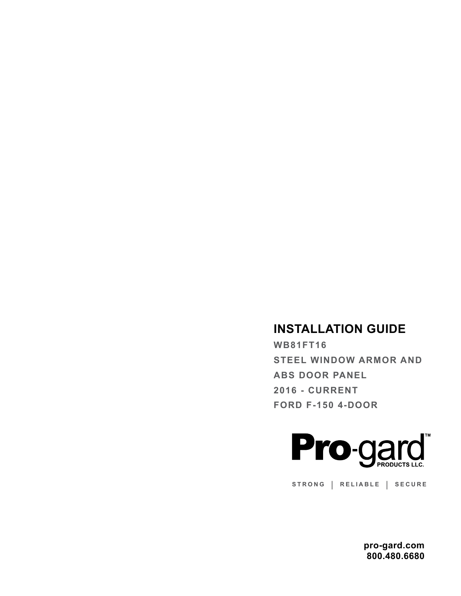# **INSTALLATION GUIDE**

**WB81FT16 STEEL WINDOW ARMOR AND ABS DOOR PANEL 2016 - CURRENT FORD F-150 4-DOOR**



**STRONG | RELIABLE | SECURE**

**pro-gard.com 800.480.6680**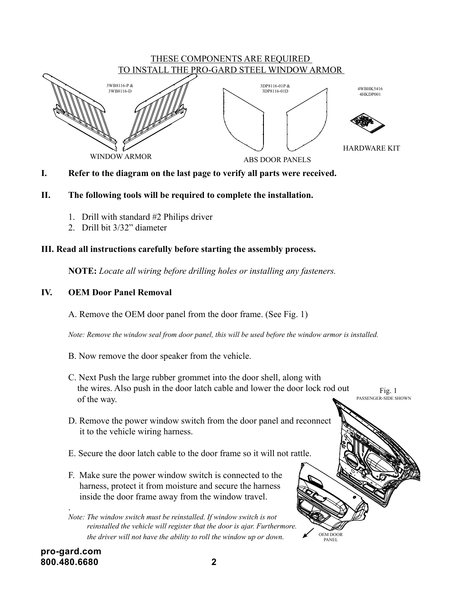

I. Refer to the diagram on the last page to verify all parts were received. DRAWN BY: ge to verify all parts were received. diagram on the last page to verify all parts were reco dr ag- **or P**

#### II. The following tools will be required to complete *The information contained herein is* REVI RD, SRAB WODNI W II. The following tools will be required to complete the installation. II. The following tools will be required to con  $\kappa$ ing tools will be r

- 1. Drill with standard #2 Philips driver
	- 2. Drill bit 3/32" diameter

## **III. Read all instructions carefully before starting the assembly process.**

**NOTE:** *Locate all wiring before drilling holes or installing any fasteners.*

# **IV. OEM Door Panel Removal**

A. Remove the OEM door panel from the door frame. (See Fig. 1)

 *Note: Remove the window seal from door panel, this will be used before the window armor is installed.*

- B. Now remove the door speaker from the vehicle.
- C. Next Push the large rubber grommet into the door shell, along with the wires. Also push in the door latch cable and lower the door lock rod out of the way. Fig. 1 PASSENGER-SIDE SHOWN

OEM DOOR PANEL

- D. Remove the power window switch from the door panel and reconnect it to the vehicle wiring harness.
- E. Secure the door latch cable to the door frame so it will not rattle.
- F. Make sure the power window switch is connected to the harness, protect it from moisture and secure the harness inside the door frame away from the window travel.

.

*Note: The window switch must be reinstalled. If window switch is not reinstalled the vehicle will register that the door is ajar. Furthermore. the driver will not have the ability to roll the window up or down.*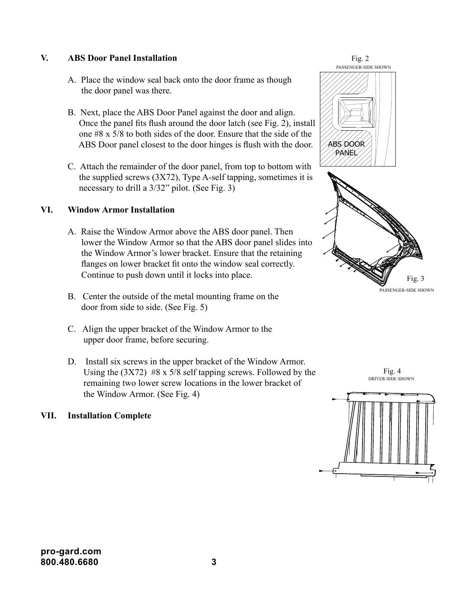## **V. ABS Door Panel Installation**

- A. Place the window seal back onto the door frame as though the door panel was there.
- B. Next, place the ABS Door Panel against the door and align. Once the panel fits flush around the door latch (see Fig. 2), install one #8 x 5/8 to both sides of the door. Ensure that the side of the ABS Door panel closest to the door hinges is flush with the door.
- C. Attach the remainder of the door panel, from top to bottom with the supplied screws  $(3X72)$ , Type A-self tapping, sometimes it is necessary to drill a 3/32" pilot. (See Fig. 3)

#### **VI. Window Armor Installation**

- A. Raise the Window Armor above the ABS door panel. Then lower the Window Armor so that the ABS door panel slides into the Window Armor's lower bracket. Ensure that the retaining flanges on lower bracket fit onto the window seal correctly. Continue to push down until it locks into place.
- B. Center the outside of the metal mounting frame on the door from side to side. (See Fig. 5)
- C. Align the upper bracket of the Window Armor to the upper door frame, before securing.
- D. Install six screws in the upper bracket of the Window Armor. Using the  $(3X72)$  #8 x 5/8 self tapping screws. Followed by the remaining two lower screw locations in the lower bracket of the Window Armor. (See Fig. 4)

#### **VII. Installation Complete**